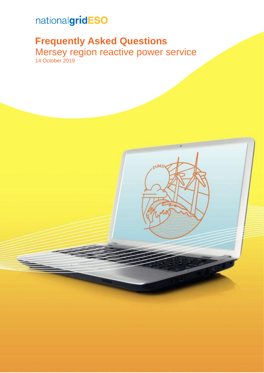# nationalgridESO

## **Frequently Asked Questions**

Mersey region reactive power service 14 October 2019

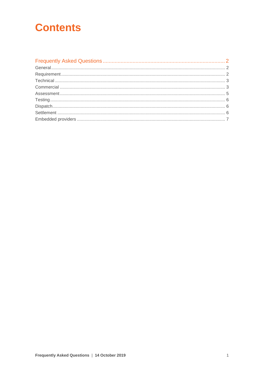## **Contents**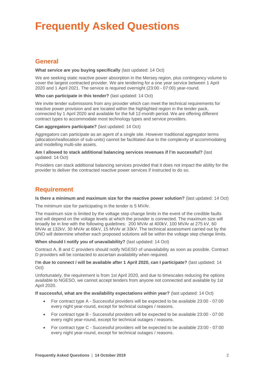# <span id="page-2-0"></span>**Frequently Asked Questions**

## <span id="page-2-1"></span>**General**

#### **What service are you buying specifically** (last updated: 14 Oct)

We are seeking static reactive power absorption in the Mersey region, plus contingency volume to cover the largest contracted provider. We are tendering for a one year service between 1 April 2020 and 1 April 2021. The service is required overnight (23:00 - 07:00) year-round.

#### **Who can participate in this tender?** (last updated: 14 Oct)

We invite tender submissions from any provider which can meet the technical requirements for reactive power provision and are located within the highlighted region in the tender pack, connected by 1 April 2020 and available for the full 12-month period. We are offering different contract types to accommodate most technology types and service providers.

#### **Can aggregators participate?** (last updated: 14 Oct)

Aggregators can participate as an agent of a single site. However traditional aggregator terms (allocation/reallocation of sub-units) cannot be facilitated due to the complexity of accommodating and modelling multi-site assets.

#### **Am I allowed to stack additional balancing services revenues if I'm successful?** (last updated: 14 Oct)

Providers can stack additional balancing services provided that it does not impact the ability for the provider to deliver the contracted reactive power services if instructed to do so.

## <span id="page-2-2"></span>**Requirement**

#### **Is there a minimum and maximum size for the reactive power solution?** (last updated: 14 Oct)

The minimum size for participating in the tender is 5 MVAr.

The maximum size is limited by the voltage step change limits in the event of the credible faults and will depend on the voltage levels at which the provider is connected. The maximum size will broadly be in line with the following guidelines: 200 MVAr at 400kV, 100 MVAr at 275 kV, 60 MVAr at 132kV, 30 MVAr at 66kV, 15 MVAr at 33kV. The technical assessment carried out by the DNO will determine whether each proposed solutions will be within the voltage step change limits.

#### **When should I notify you of unavailability?** (last updated: 14 Oct)

Contract A, B and C providers should notify NGESO of unavailability as soon as possible. Contract D providers will be contacted to ascertain availability when required.

#### **I'm due to connect / will be available after 1 April 2020, can I participate?** (last updated: 14 Oct)

Unfortunately, the requirement is from 1st April 2020, and due to timescales reducing the options available to NGESO, we cannot accept tenders from anyone not connected and available by 1st April 2020.

#### **If successful, what are the availability expectations within year?** (last updated: 14 Oct)

- For contract type A Successful providers will be expected to be available 23:00 07:00 every night year-round, except for technical outages / reasons.
- For contract type B Successful providers will be expected to be available 23:00 07:00 every night year-round, except for technical outages / reasons.
- For contract type C Successful providers will be expected to be available 23:00 07:00 every night year-round, except for technical outages / reasons.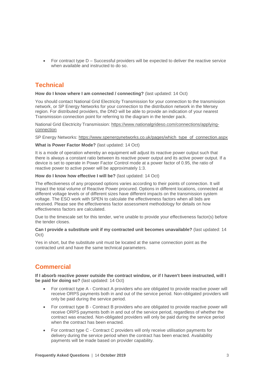• For contract type D – Successful providers will be expected to deliver the reactive service when available and instructed to do so.

## <span id="page-3-0"></span>**Technical**

#### **How do I know where I am connected / connecting?** (last updated: 14 Oct)

You should contact National Grid Electricity Transmission for your connection to the transmission network, or SP Energy Networks for your connection to the distribution network in the Mersey region. For distributed providers, the DNO will be able to provide an indication of your nearest Transmission connection point for referring to the diagram in the tender pack.

National Grid Electricity Transmission: [https://www.nationalgrideso.com/connections/applying](https://www.nationalgrideso.com/connections/applying-connection)[connection](https://www.nationalgrideso.com/connections/applying-connection)

SP Energy Networks: [https://www.spenergynetworks.co.uk/pages/which\\_type\\_of\\_connection.aspx](https://www.spenergynetworks.co.uk/pages/which_type_of_connection.aspx)

#### **What is Power Factor Mode?** (last updated: 14 Oct)

It is a mode of operation whereby an equipment will adjust its reactive power output such that there is always a constant ratio between its reactive power output and its active power output. If a device is set to operate in Power Factor Control mode at a power factor of 0.95, the ratio of reactive power to active power will be approximately 1:3.

#### **How do I know how effective I will be?** (last updated: 14 Oct)

The effectiveness of any proposed options varies according to their points of connection. It will impact the total volume of Reactive Power procured. Options in different locations, connected at different voltage levels or of different sizes have different impacts on the transmission system voltage. The ESO work with SPEN to calculate the effectiveness factors when all bids are received. Please see the effectiveness factor assessment methodology for details on how effectiveness factors are calculated.

Due to the timescale set for this tender, we're unable to provide your effectiveness factor(s) before the tender closes.

#### **Can I provide a substitute unit if my contracted unit becomes unavailable?** (last updated: 14 Oct)

Yes in short, but the substitute unit must be located at the same connection point as the contracted unit and have the same technical parameters.

## <span id="page-3-1"></span>**Commercial**

**If I absorb reactive power outside the contract window, or if I haven't been instructed, will I be paid for doing so?** (last updated: 14 Oct)

- For contract type A Contract A providers who are obligated to provide reactive power will receive ORPS payments both in and out of the service period. Non-obligated providers will only be paid during the service period.
- For contract type B Contract B providers who are obligated to provide reactive power will receive ORPS payments both in and out of the service period, regardless of whether the contract was enacted. Non-obligated providers will only be paid during the service period when the contract has been enacted.
- For contract type C Contract C providers will only receive utilisation payments for delivery during the service period when the contract has been enacted. Availability payments will be made based on provider capability.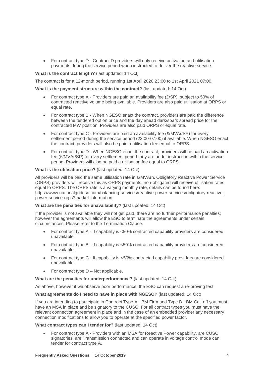• For contract type D - Contract D providers will only receive activation and utilisation payments during the service period when instructed to deliver the reactive service.

#### **What is the contract length?** (last updated: 14 Oct)

The contract is for a 12-month period, running 1st April 2020 23:00 to 1st April 2021 07:00.

#### **What is the payment structure within the contract?** (last updated: 14 Oct)

- For contract type A Providers are paid an availability fee (£/SP), subject to 50% of contracted reactive volume being available. Providers are also paid utilisation at ORPS or equal rate.
- For contract type B When NGESO enact the contract, providers are paid the difference between the tendered option price and the day ahead dark/spark spread price for the contracted MW position. Providers are also paid ORPS or equal rate.
- For contract type C Providers are paid an availability fee (£/MVAr/SP) for every settlement period during the service period (23:00-07:00) if available. When NGESO enact the contract, providers will also be paid a utilisation fee equal to ORPS.
- For contract type D When NGESO enact the contract, providers will be paid an activation fee (£/MVAr/SP) for every settlement period they are under instruction within the service period. Providers will also be paid a utilisation fee equal to ORPS.

#### **What is the utilisation price?** (last updated: 14 Oct)

All providers will be paid the same utilisation rate in £/MVArh. Obligatory Reactive Power Service (ORPS) providers will receive this as ORPS payments, non-obligated will receive utilisation rates equal to ORPS. The ORPS rate is a varying monthly rate, details can be found here: [https://www.nationalgrideso.com/balancing-services/reactive-power-services/obligatory-reactive](https://www.nationalgrideso.com/balancing-services/reactive-power-services/obligatory-reactive-power-service-orps?market-information)[power-service-orps?market-information.](https://www.nationalgrideso.com/balancing-services/reactive-power-services/obligatory-reactive-power-service-orps?market-information)

#### **What are the penalties for unavailability?** (last updated: 14 Oct)

If the provider is not available they will not get paid, there are no further performance penalties; however the agreements will allow the ESO to terminate the agreements under certain circumstances. Please refer to the Termination Clause.

- For contract type A If capability is <50% contracted capability providers are considered unavailable.
- For contract type B If capability is <50% contracted capability providers are considered unavailable.
- For contract type C If capability is <50% contracted capability providers are considered unavailable.
- For contract type D Not applicable.

**What are the penalties for underperformance?** (last updated: 14 Oct)

As above, however if we observe poor performance, the ESO can request a re-proving test.

#### **What agreements do I need to have in place with NGESO?** (last updated: 14 Oct)

If you are intending to participate in Contract Type A - BM Firm and Type B - BM Call-off you must have an MSA in place and be signatory to the CUSC. For all contract types you must have the relevant connection agreement in place and in the case of an embedded provider any necessary connection modifications to allow you to operate at the specified power factor.

#### **What contract types can I tender for?** (last updated: 14 Oct)

• For contract type A - Providers with an MSA for Reactive Power capability, are CUSC signatories, are Transmission connected and can operate in voltage control mode can tender for contract type A.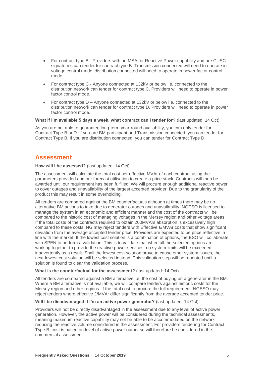- For contract type B Providers with an MSA for Reactive Power capability and are CUSC signatories can tender for contract type B. Transmission connected will need to operate in voltage control mode, distribution connected will need to operate in power factor control mode.
- For contract type C Anyone connected at 132kV or below i.e. connected to the distribution network can tender for contract type C. Providers will need to operate in power factor control mode.
- For contract type D Anyone connected at 132kV or below i.e. connected to the distribution network can tender for contract type D. Providers will need to operate in power factor control mode.

#### **What if I'm available 5 days a week, what contract can I tender for?** (last updated: 14 Oct)

As you are not able to guarantee long-term year-round availability, you can only tender for Contract Type B or D. If you are BM participant and Transmission connected, you can tender for Contract Type B. If you are distribution connected, you can tender for Contract Type D.

### <span id="page-5-0"></span>**Assessment**

#### **How will I be assessed?** (last updated: 14 Oct)

The assessment will calculate the total cost per effective MVAr of each contract using the parameters provided and our forecast utilisation to create a price stack. Contracts will then be awarded until our requirement has been fulfilled. We will procure enough additional reactive power to cover outages and unavailability of the largest accepted provider. Due to the granularity of the product this may result in some overholding.

All tenders are compared against the BM counterfactuals although at times there may be no alternative BM actions to take due to generator outages and unavailability. NGESO is licensed to manage the system in an economic and efficient manner and the cost of the contracts will be compared to the historic cost of managing voltages in the Mersey region and other voltage areas. If the total costs of the contracts required to obtain 200MVArs absorption is excessively high compared to these costs, NG may reject tenders with Effective £/MVAr costs that show significant deviation from the average accepted tender price. Providers are expected to be price reflective in line with the market. If the lowest cost solution is a combination of options, the ESO will collaborate with SPEN to perform a validation. This is to validate that when all the selected options are working together to provide the reactive power services, no system limits will be exceeded inadvertently as a result. Shall the lowest cost solution prove to cause other system issues, the next-lowest cost solution will be selected instead. This validation step will be repeated until a solution is found to clear the validation process.

#### **What is the counterfactual for the assessment?** (last updated: 14 Oct)

All tenders are compared against a BM alternative i.e. the cost of buying on a generator in the BM. Where a BM alternative is not available, we will compare tenders against historic costs for the Mersey region and other regions. If the total cost to procure the full requirement, NGESO may reject tenders where effective £/MVAr differ significantly from the average accepted tender price.

#### **Will I be disadvantaged if I'm an active power generator?** (last updated: 14 Oct)

Providers will not be directly disadvantaged in the assessment due to any level of active power generation. However, the active power will be considered during the technical assessments, meaning maximum reactive capability may not be able to be accommodated on the network reducing the reactive volume considered in the assessment. For providers tendering for Contract Type B, cost is based on level of active power output so will therefore be considered in the commercial assessment.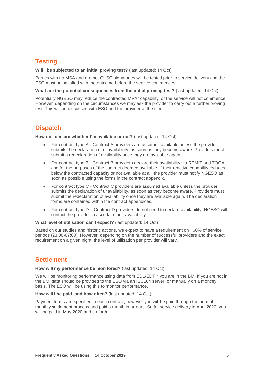## <span id="page-6-0"></span>**Testing**

#### **Will I be subjected to an initial proving test?** (last updated: 14 Oct)

Parties with no MSA and are not CUSC signatories will be tested prior to service delivery and the ESO must be satisfied with the outcome before the service commences.

#### **What are the potential consequences from the initial proving test?** (last updated: 14 Oct)

Potentially NGESO may reduce the contracted MVAr capability, or the service will not commence. However, depending on the circumstances we may ask the provider to carry out a further proving test. This will be discussed with ESO and the provider at the time.

## <span id="page-6-1"></span>**Dispatch**

**How do I declare whether I'm available or not?** (last updated: 14 Oct)

- For contract type A Contract A providers are assumed available unless the provider submits the declaration of unavailability, as soon as they become aware. Providers must submit a redeclaration of availability once they are available again.
- For contract type B Contract B providers declare their availability via REMIT and TOGA and for the purposes of the contract deemed available. If their reactive capability reduces below the contracted capacity or not available at all, the provider must notify NGESO as soon as possible using the forms in the contract appendix.
- For contract type C Contract C providers are assumed available unless the provider submits the declaration of unavailability, as soon as they become aware. Providers must submit the redeclaration of availability once they are available again. The declaration forms are contained within the contract appendices.
- For contract type D Contract D providers do not need to declare availability. NGESO will contact the provider to ascertain their availability.

**What level of utilisation can I expect?** (last updated: 14 Oct)

Based on our studies and historic actions, we expect to have a requirement on ~60% of service periods (23:00-07:00). However, depending on the number of successful providers and the exact requirement on a given night, the level of utilisation per provider will vary.

## <span id="page-6-2"></span>**Settlement**

#### **How will my performance be monitored?** (last updated: 14 Oct)

We will be monitoring performance using data from EDL/EDT if you are in the BM. If you are not in the BM, data should be provided to the ESO via an IEC104 server, or manually on a monthly basis. The ESO will be using this to monitor performance.

#### **How will I be paid, and how often?** (last updated: 14 Oct)

Payment terms are specified in each contract, however you will be paid through the normal monthly settlement process and paid a month in arrears. So for service delivery in April 2020, you will be paid in May 2020 and so forth.